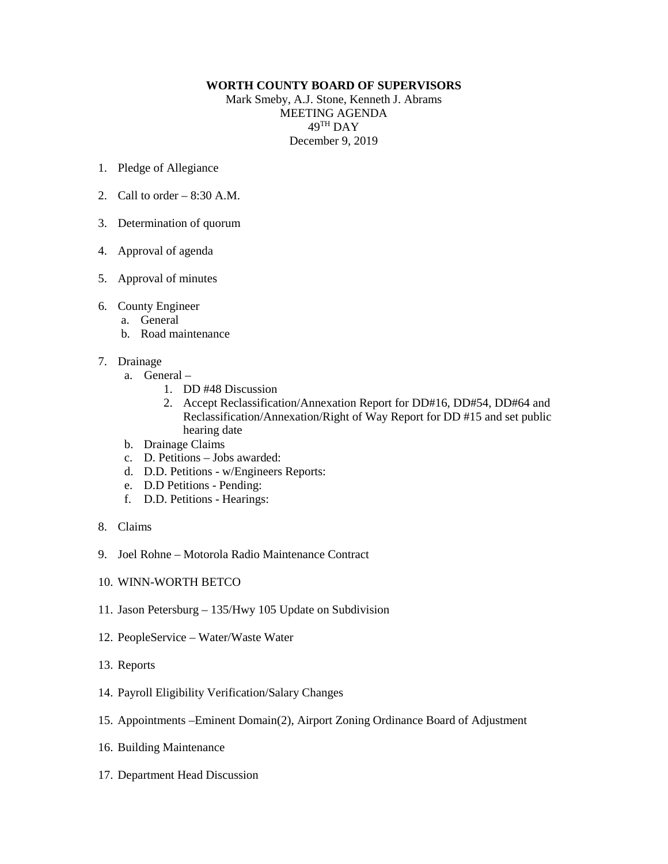## **WORTH COUNTY BOARD OF SUPERVISORS**

Mark Smeby, A.J. Stone, Kenneth J. Abrams MEETING AGENDA 49TH DAY December 9, 2019

- 1. Pledge of Allegiance
- 2. Call to order  $-8:30$  A.M.
- 3. Determination of quorum
- 4. Approval of agenda
- 5. Approval of minutes
- 6. County Engineer
	- a. General
	- b. Road maintenance
- 7. Drainage
	- a. General
		- 1. DD #48 Discussion
		- 2. Accept Reclassification/Annexation Report for DD#16, DD#54, DD#64 and Reclassification/Annexation/Right of Way Report for DD #15 and set public hearing date
	- b. Drainage Claims
	- c. D. Petitions Jobs awarded:
	- d. D.D. Petitions w/Engineers Reports:
	- e. D.D Petitions Pending:
	- f. D.D. Petitions Hearings:
- 8. Claims
- 9. Joel Rohne Motorola Radio Maintenance Contract
- 10. WINN-WORTH BETCO
- 11. Jason Petersburg 135/Hwy 105 Update on Subdivision
- 12. PeopleService Water/Waste Water
- 13. Reports
- 14. Payroll Eligibility Verification/Salary Changes
- 15. Appointments –Eminent Domain(2), Airport Zoning Ordinance Board of Adjustment
- 16. Building Maintenance
- 17. Department Head Discussion